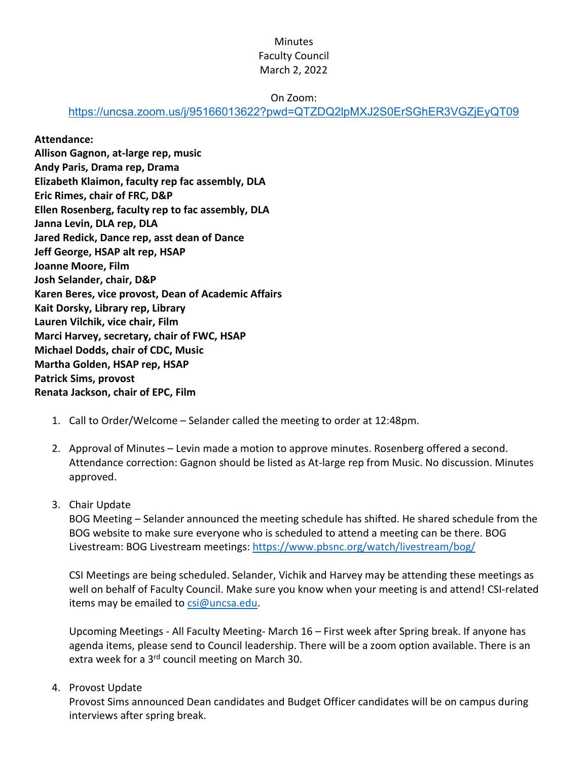# **Minutes** Faculty Council March 2, 2022

#### On Zoom:

<https://uncsa.zoom.us/j/95166013622?pwd=QTZDQ2lpMXJ2S0ErSGhER3VGZjEyQT09>

#### **Attendance:**

**Allison Gagnon, at-large rep, music Andy Paris, Drama rep, Drama Elizabeth Klaimon, faculty rep fac assembly, DLA Eric Rimes, chair of FRC, D&P Ellen Rosenberg, faculty rep to fac assembly, DLA Janna Levin, DLA rep, DLA Jared Redick, Dance rep, asst dean of Dance Jeff George, HSAP alt rep, HSAP Joanne Moore, Film Josh Selander, chair, D&P Karen Beres, vice provost, Dean of Academic Affairs Kait Dorsky, Library rep, Library Lauren Vilchik, vice chair, Film Marci Harvey, secretary, chair of FWC, HSAP Michael Dodds, chair of CDC, Music Martha Golden, HSAP rep, HSAP Patrick Sims, provost Renata Jackson, chair of EPC, Film**

- 1. Call to Order/Welcome Selander called the meeting to order at 12:48pm.
- 2. Approval of Minutes Levin made a motion to approve minutes. Rosenberg offered a second. Attendance correction: Gagnon should be listed as At-large rep from Music. No discussion. Minutes approved.

## 3. Chair Update

BOG Meeting – Selander announced the meeting schedule has shifted. He shared schedule from the BOG website to make sure everyone who is scheduled to attend a meeting can be there. BOG Livestream: BOG Livestream meetings:<https://www.pbsnc.org/watch/livestream/bog/>

CSI Meetings are being scheduled. Selander, Vichik and Harvey may be attending these meetings as well on behalf of Faculty Council. Make sure you know when your meeting is and attend! CSI-related items may be emailed to [csi@uncsa.edu.](mailto:csi@uncsa.edu)

Upcoming Meetings - All Faculty Meeting- March 16 – First week after Spring break. If anyone has agenda items, please send to Council leadership. There will be a zoom option available. There is an extra week for a 3<sup>rd</sup> council meeting on March 30.

## 4. Provost Update

Provost Sims announced Dean candidates and Budget Officer candidates will be on campus during interviews after spring break.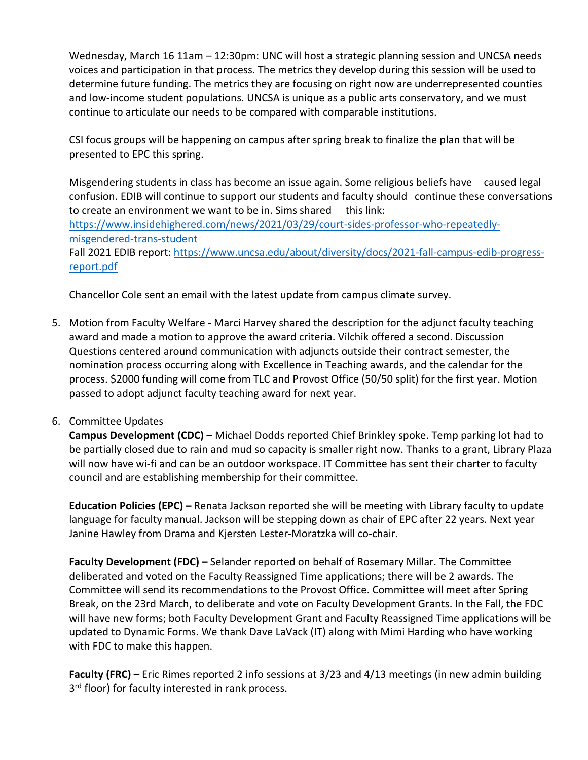Wednesday, March 16 11am – 12:30pm: UNC will host a strategic planning session and UNCSA needs voices and participation in that process. The metrics they develop during this session will be used to determine future funding. The metrics they are focusing on right now are underrepresented counties and low-income student populations. UNCSA is unique as a public arts conservatory, and we must continue to articulate our needs to be compared with comparable institutions.

CSI focus groups will be happening on campus after spring break to finalize the plan that will be presented to EPC this spring.

Misgendering students in class has become an issue again. Some religious beliefs have caused legal confusion. EDIB will continue to support our students and faculty should continue these conversations to create an environment we want to be in. Sims shared this link: [https://www.insidehighered.com/news/2021/03/29/court-sides-professor-who-repeatedly](https://www.insidehighered.com/news/2021/03/29/court-sides-professor-who-repeatedly-%09misgendered-trans-student)[misgendered-trans-student](https://www.insidehighered.com/news/2021/03/29/court-sides-professor-who-repeatedly-%09misgendered-trans-student)  Fall 2021 EDIB report: [https://www.uncsa.edu/about/diversity/docs/2021-fall-campus-edib-progress-](https://www.uncsa.edu/about/diversity/docs/2021-fall-campus-edib-progress-%09report.pdf)

[report.pdf](https://www.uncsa.edu/about/diversity/docs/2021-fall-campus-edib-progress-%09report.pdf)

Chancellor Cole sent an email with the latest update from campus climate survey.

5. Motion from Faculty Welfare - Marci Harvey shared the description for the adjunct faculty teaching award and made a motion to approve the award criteria. Vilchik offered a second. Discussion Questions centered around communication with adjuncts outside their contract semester, the nomination process occurring along with Excellence in Teaching awards, and the calendar for the process. \$2000 funding will come from TLC and Provost Office (50/50 split) for the first year. Motion passed to adopt adjunct faculty teaching award for next year.

## 6. Committee Updates

**Campus Development (CDC) –** Michael Dodds reported Chief Brinkley spoke. Temp parking lot had to be partially closed due to rain and mud so capacity is smaller right now. Thanks to a grant, Library Plaza will now have wi-fi and can be an outdoor workspace. IT Committee has sent their charter to faculty council and are establishing membership for their committee.

**Education Policies (EPC) –** Renata Jackson reported she will be meeting with Library faculty to update language for faculty manual. Jackson will be stepping down as chair of EPC after 22 years. Next year Janine Hawley from Drama and Kjersten Lester-Moratzka will co-chair.

**Faculty Development (FDC) –** Selander reported on behalf of Rosemary Millar. The Committee deliberated and voted on the Faculty Reassigned Time applications; there will be 2 awards. The Committee will send its recommendations to the Provost Office. Committee will meet after Spring Break, on the 23rd March, to deliberate and vote on Faculty Development Grants. In the Fall, the FDC will have new forms; both Faculty Development Grant and Faculty Reassigned Time applications will be updated to Dynamic Forms. We thank Dave LaVack (IT) along with Mimi Harding who have working with FDC to make this happen.

**Faculty (FRC) –** Eric Rimes reported 2 info sessions at 3/23 and 4/13 meetings (in new admin building 3<sup>rd</sup> floor) for faculty interested in rank process.